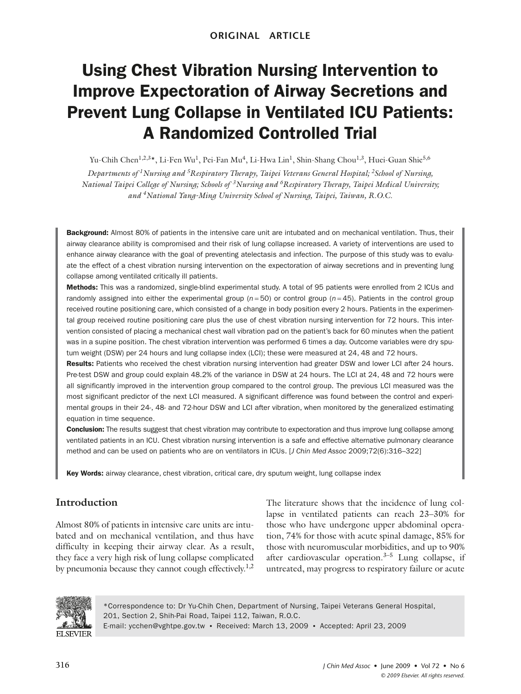# Using Chest Vibration Nursing Intervention to Improve Expectoration of Airway Secretions and Prevent Lung Collapse in Ventilated ICU Patients: A Randomized Controlled Trial

Yu-Chih Chen<sup>1,2,3</sup>\*, Li-Fen Wu<sup>1</sup>, Pei-Fan Mu<sup>4</sup>, Li-Hwa Lin<sup>1</sup>, Shin-Shang Chou<sup>1,3</sup>, Huei-Guan Shie<sup>5,6</sup>

*Departments of 1 Nursing and 5 Respiratory Therapy, Taipei Veterans General Hospital; 2 School of Nursing, National Taipei College of Nursing; Schools of <sup>3</sup> Nursing and 6 Respiratory Therapy, Taipei Medical University; and 4 National Yang-Ming University School of Nursing, Taipei, Taiwan, R.O.C.*

Background: Almost 80% of patients in the intensive care unit are intubated and on mechanical ventilation. Thus, their airway clearance ability is compromised and their risk of lung collapse increased. A variety of interventions are used to enhance airway clearance with the goal of preventing atelectasis and infection. The purpose of this study was to evaluate the effect of a chest vibration nursing intervention on the expectoration of airway secretions and in preventing lung collapse among ventilated critically ill patients.

Methods: This was a randomized, single-blind experimental study. A total of 95 patients were enrolled from 2 ICUs and randomly assigned into either the experimental group  $(n=50)$  or control group  $(n=45)$ . Patients in the control group received routine positioning care, which consisted of a change in body position every 2 hours. Patients in the experimental group received routine positioning care plus the use of chest vibration nursing intervention for 72 hours. This intervention consisted of placing a mechanical chest wall vibration pad on the patient's back for 60 minutes when the patient was in a supine position. The chest vibration intervention was performed 6 times a day. Outcome variables were dry sputum weight (DSW) per 24 hours and lung collapse index (LCI); these were measured at 24, 48 and 72 hours.

Results: Patients who received the chest vibration nursing intervention had greater DSW and lower LCI after 24 hours. Pre-test DSW and group could explain 48.2% of the variance in DSW at 24 hours. The LCI at 24, 48 and 72 hours were all significantly improved in the intervention group compared to the control group. The previous LCI measured was the most significant predictor of the next LCI measured. A significant difference was found between the control and experimental groups in their 24-, 48- and 72-hour DSW and LCI after vibration, when monitored by the generalized estimating equation in time sequence.

**Conclusion:** The results suggest that chest vibration may contribute to expectoration and thus improve lung collapse among ventilated patients in an ICU. Chest vibration nursing intervention is a safe and effective alternative pulmonary clearance method and can be used on patients who are on ventilators in ICUs. [*J Chin Med Assoc* 2009;72(6):316–322]

Key Words: airway clearance, chest vibration, critical care, dry sputum weight, lung collapse index

# **Introduction**

Almost 80% of patients in intensive care units are intubated and on mechanical ventilation, and thus have difficulty in keeping their airway clear. As a result, they face a very high risk of lung collapse complicated by pneumonia because they cannot cough effectively.<sup>1,2</sup> The literature shows that the incidence of lung collapse in ventilated patients can reach 23–30% for those who have undergone upper abdominal operation, 74% for those with acute spinal damage, 85% for those with neuromuscular morbidities, and up to 90% after cardiovascular operation. $3-5$  Lung collapse, if untreated, may progress to respiratory failure or acute



\*Correspondence to: Dr Yu-Chih Chen, Department of Nursing, Taipei Veterans General Hospital, 201, Section 2, Shih-Pai Road, Taipei 112, Taiwan, R.O.C. E-mail: ycchen@vghtpe.gov.tw ● Received: March 13, 2009 ● Accepted: April 23, 2009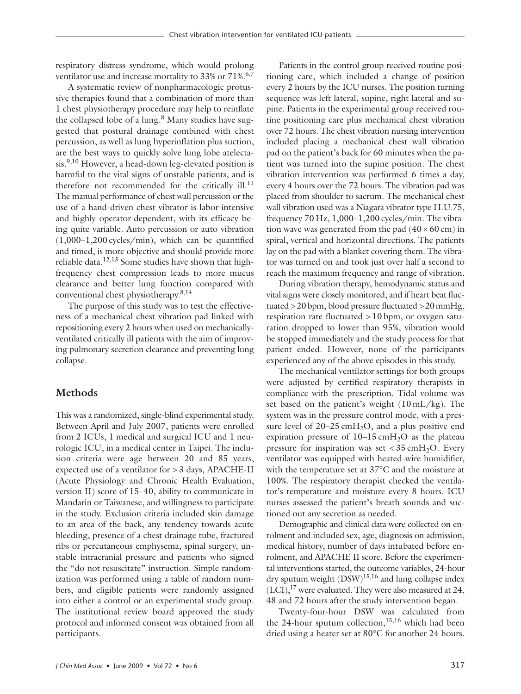respiratory distress syndrome, which would prolong ventilator use and increase mortality to  $33\%$  or  $71\%$ .<sup>6,7</sup>

A systematic review of nonpharmacologic protussive therapies found that a combination of more than 1 chest physiotherapy procedure may help to reinflate the collapsed lobe of a lung. $8$  Many studies have suggested that postural drainage combined with chest percussion, as well as lung hyperinflation plus suction, are the best ways to quickly solve lung lobe atelectasis.<sup>9,10</sup> However, a head-down leg-elevated position is harmful to the vital signs of unstable patients, and is therefore not recommended for the critically ill.<sup>11</sup> The manual performance of chest wall percussion or the use of a hand-driven chest vibrator is labor-intensive and highly operator-dependent, with its efficacy being quite variable. Auto percussion or auto vibration (1,000–1,200 cycles/min), which can be quantified and timed, is more objective and should provide more reliable data.<sup>12,13</sup> Some studies have shown that highfrequency chest compression leads to more mucus clearance and better lung function compared with conventional chest physiotherapy.8,14

The purpose of this study was to test the effectiveness of a mechanical chest vibration pad linked with repositioning every 2 hours when used on mechanicallyventilated critically ill patients with the aim of improving pulmonary secretion clearance and preventing lung collapse.

# **Methods**

This was a randomized, single-blind experimental study. Between April and July 2007, patients were enrolled from 2 ICUs, 1 medical and surgical ICU and 1 neurologic ICU, in a medical center in Taipei. The inclusion criteria were age between 20 and 85 years, expected use of a ventilator for > 3 days, APACHE-II (Acute Physiology and Chronic Health Evaluation, version II) score of 15–40, ability to communicate in Mandarin or Taiwanese, and willingness to participate in the study. Exclusion criteria included skin damage to an area of the back, any tendency towards acute bleeding, presence of a chest drainage tube, fractured ribs or percutaneous emphysema, spinal surgery, unstable intracranial pressure and patients who signed the "do not resuscitate" instruction. Simple randomization was performed using a table of random numbers, and eligible patients were randomly assigned into either a control or an experimental study group. The institutional review board approved the study protocol and informed consent was obtained from all participants.

Patients in the control group received routine positioning care, which included a change of position every 2 hours by the ICU nurses. The position turning sequence was left lateral, supine, right lateral and supine. Patients in the experimental group received routine positioning care plus mechanical chest vibration over 72 hours. The chest vibration nursing intervention included placing a mechanical chest wall vibration pad on the patient's back for 60 minutes when the patient was turned into the supine position. The chest vibration intervention was performed 6 times a day, every 4 hours over the 72 hours. The vibration pad was placed from shoulder to sacrum. The mechanical chest wall vibration used was a Niagara vibrator type H.U.75, frequency 70 Hz, 1,000–1,200 cycles/min. The vibration wave was generated from the pad  $(40 \times 60 \text{ cm})$  in spiral, vertical and horizontal directions. The patients lay on the pad with a blanket covering them. The vibrator was turned on and took just over half a second to reach the maximum frequency and range of vibration.

During vibration therapy, hemodynamic status and vital signs were closely monitored, and if heart beat fluctuated >20bpm, blood pressure fluctuated >20mmHg, respiration rate fluctuated  $> 10$  bpm, or oxygen saturation dropped to lower than 95%, vibration would be stopped immediately and the study process for that patient ended. However, none of the participants experienced any of the above episodes in this study.

The mechanical ventilator settings for both groups were adjusted by certified respiratory therapists in compliance with the prescription. Tidal volume was set based on the patient's weight (10 mL/kg). The system was in the pressure control mode, with a pressure level of  $20-25 \text{ cm}H_2O$ , and a plus positive end expiration pressure of  $10-15 \text{ cm}H_2O$  as the plateau pressure for inspiration was set  $<$  35 cmH<sub>2</sub>O. Every ventilator was equipped with heated-wire humidifier, with the temperature set at 37°C and the moisture at 100%. The respiratory therapist checked the ventilator's temperature and moisture every 8 hours. ICU nurses assessed the patient's breath sounds and suctioned out any secretion as needed.

Demographic and clinical data were collected on enrolment and included sex, age, diagnosis on admission, medical history, number of days intubated before enrolment, and APACHE II score. Before the experimental interventions started, the outcome variables, 24-hour dry sputum weight  $(DSW)^{15,16}$  and lung collapse index  $(LCI),$ <sup>17</sup> were evaluated. They were also measured at 24, 48 and 72 hours after the study intervention began.

Twenty-four-hour DSW was calculated from the 24-hour sputum collection, $15,16$  which had been dried using a heater set at 80°C for another 24 hours.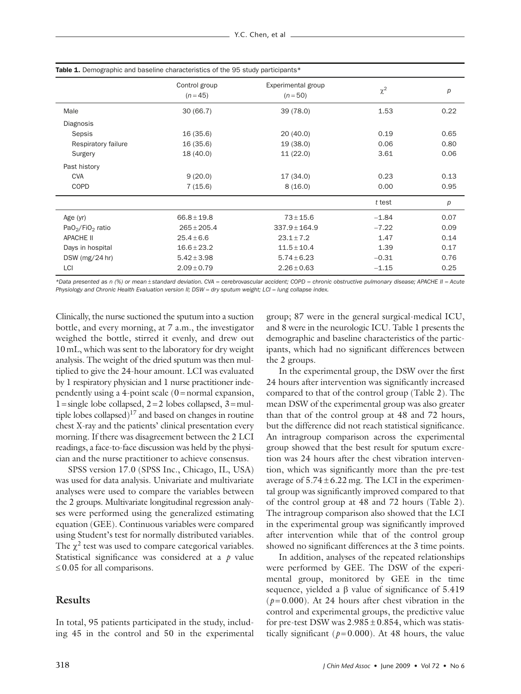|                                          | Control group<br>$(n=45)$ | Experimental group<br>$(n = 50)$ | $\chi^2$ | p    |
|------------------------------------------|---------------------------|----------------------------------|----------|------|
| Male                                     | 30(66.7)                  | 39(78.0)                         | 1.53     | 0.22 |
| Diagnosis                                |                           |                                  |          |      |
| Sepsis                                   | 16(35.6)                  | 20(40.0)                         | 0.19     | 0.65 |
| Respiratory failure                      | 16(35.6)                  | 19(38.0)                         | 0.06     | 0.80 |
| Surgery                                  | 18(40.0)                  | 11(22.0)                         | 3.61     | 0.06 |
| Past history                             |                           |                                  |          |      |
| <b>CVA</b>                               | 9(20.0)                   | 17 (34.0)                        | 0.23     | 0.13 |
| <b>COPD</b>                              | 7(15.6)                   | 8(16.0)                          | 0.00     | 0.95 |
|                                          |                           |                                  | t test   | р    |
| Age (yr)                                 | $66.8 \pm 19.8$           | $73 \pm 15.6$                    | $-1.84$  | 0.07 |
| PaO <sub>2</sub> /FiO <sub>2</sub> ratio | $265 \pm 205.4$           | $337.9 \pm 164.9$                | $-7.22$  | 0.09 |
| <b>APACHE II</b>                         | $25.4 \pm 6.6$            | $23.1 \pm 7.2$                   | 1.47     | 0.14 |
| Days in hospital                         | $16.6 \pm 23.2$           | $11.5 \pm 10.4$                  | 1.39     | 0.17 |
| DSW ( $mg/24$ hr)                        | $5.42 \pm 3.98$           | $5.74 \pm 6.23$                  | $-0.31$  | 0.76 |
| LCI                                      | $2.09 \pm 0.79$           | $2.26 \pm 0.63$                  | $-1.15$  | 0.25 |

*\*Data presented as n (%) or mean* ± *standard deviation. CVA* = *cerebrovascular accident; COPD* = *chronic obstructive pulmonary disease; APACHE II* = *Acute Physiology and Chronic Health Evaluation version II: DSW = dry sputum weight; LCI = <i>lung collapse index*.

Clinically, the nurse suctioned the sputum into a suction bottle, and every morning, at 7 a.m., the investigator weighed the bottle, stirred it evenly, and drew out 10 mL, which was sent to the laboratory for dry weight analysis. The weight of the dried sputum was then multiplied to give the 24-hour amount. LCI was evaluated by 1 respiratory physician and 1 nurse practitioner independently using a 4-point scale  $(0 = normal)$  expansion,  $1 =$ single lobe collapsed,  $2 = 2$  lobes collapsed,  $3 =$ multiple lobes collapsed)<sup>17</sup> and based on changes in routine chest X-ray and the patients' clinical presentation every morning. If there was disagreement between the 2 LCI readings, a face-to-face discussion was held by the physician and the nurse practitioner to achieve consensus.

SPSS version 17.0 (SPSS Inc., Chicago, IL, USA) was used for data analysis. Univariate and multivariate analyses were used to compare the variables between the 2 groups. Multivariate longitudinal regression analyses were performed using the generalized estimating equation (GEE). Continuous variables were compared using Student's test for normally distributed variables. The  $\chi^2$  test was used to compare categorical variables. Statistical significance was considered at a *p* value  $\leq$  0.05 for all comparisons.

## **Results**

In total, 95 patients participated in the study, including 45 in the control and 50 in the experimental group; 87 were in the general surgical-medical ICU, and 8 were in the neurologic ICU. Table 1 presents the demographic and baseline characteristics of the participants, which had no significant differences between the 2 groups.

In the experimental group, the DSW over the first 24 hours after intervention was significantly increased compared to that of the control group (Table 2). The mean DSW of the experimental group was also greater than that of the control group at 48 and 72 hours, but the difference did not reach statistical significance. An intragroup comparison across the experimental group showed that the best result for sputum excretion was 24 hours after the chest vibration intervention, which was significantly more than the pre-test average of  $5.74 \pm 6.22$  mg. The LCI in the experimental group was significantly improved compared to that of the control group at 48 and 72 hours (Table 2). The intragroup comparison also showed that the LCI in the experimental group was significantly improved after intervention while that of the control group showed no significant differences at the 3 time points.

In addition, analyses of the repeated relationships were performed by GEE. The DSW of the experimental group, monitored by GEE in the time sequence, yielded a β value of significance of 5.419  $(p=0.000)$ . At 24 hours after chest vibration in the control and experimental groups, the predictive value for pre-test DSW was  $2.985 \pm 0.854$ , which was statistically significant ( $p=0.000$ ). At 48 hours, the value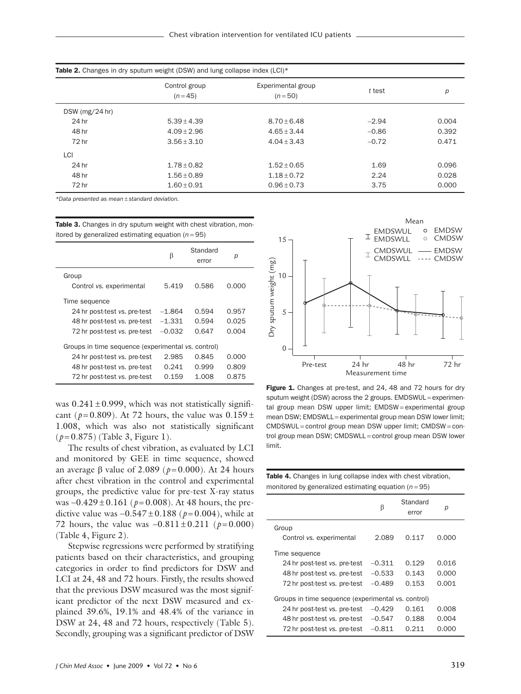|                   | Control group<br>Experimental group<br>$(n=45)$<br>$(n=50)$ |                 | t test  | р     |  |
|-------------------|-------------------------------------------------------------|-----------------|---------|-------|--|
| DSW ( $mg/24$ hr) |                                                             |                 |         |       |  |
| 24 hr             | $5.39 + 4.39$                                               | $8.70 + 6.48$   | $-2.94$ | 0.004 |  |
| 48 hr             | $4.09 + 2.96$                                               | $4.65 + 3.44$   | $-0.86$ | 0.392 |  |
| 72 hr             | $3.56 + 3.10$                                               | $4.04 + 3.43$   | $-0.72$ | 0.471 |  |
| LCI               |                                                             |                 |         |       |  |
| 24 hr             | $1.78 + 0.82$                                               | $1.52 + 0.65$   | 1.69    | 0.096 |  |
| 48 hr             | $1.56 \pm 0.89$                                             | $1.18 \pm 0.72$ | 2.24    | 0.028 |  |
| 72 hr             | $1.60 \pm 0.91$                                             | $0.96 \pm 0.73$ | 3.75    | 0.000 |  |

*\*Data presented as mean* ± *standard deviation.*

Table 3. Changes in dry sputum weight with chest vibration, monitored by generalized estimating equation  $(n = 95)$ 

|                                                    | β        | Standard<br>error | р     |  |
|----------------------------------------------------|----------|-------------------|-------|--|
| Group                                              |          |                   |       |  |
| Control vs. experimental                           | 5.419    | 0.586             | 0.000 |  |
| Time sequence                                      |          |                   |       |  |
| 24 hr post-test vs. pre-test                       | $-1.864$ | 0.594             | 0.957 |  |
| 48 hr post-test vs. pre-test                       | $-1.331$ | 0.594             | 0.025 |  |
| 72 hr post-test vs. pre-test                       | $-0.032$ | 0.647             | 0.004 |  |
| Groups in time sequence (experimental vs. control) |          |                   |       |  |
| 24 hr post-test vs. pre-test                       | 2.985    | 0.845             | 0.000 |  |
| 48 hr post-test vs. pre-test                       | 0.241    | 0.999             | 0.809 |  |
| 72 hr post-test vs. pre-test                       | 0.159    | 1.008             | 0.875 |  |

was  $0.241 \pm 0.999$ , which was not statistically significant ( $p=0.809$ ). At 72 hours, the value was  $0.159 \pm$ 1.008, which was also not statistically significant (*p* = 0.875) (Table 3, Figure 1).

The results of chest vibration, as evaluated by LCI and monitored by GEE in time sequence, showed an average β value of 2.089 ( $p=0.000$ ). At 24 hours after chest vibration in the control and experimental groups, the predictive value for pre-test X-ray status was −0.429 ± 0.161 (*p* = 0.008). At 48 hours, the predictive value was  $-0.547 \pm 0.188$  ( $p = 0.004$ ), while at 72 hours, the value was  $-0.811 \pm 0.211$  (*p* = 0.000) (Table 4, Figure 2).

Stepwise regressions were performed by stratifying patients based on their characteristics, and grouping categories in order to find predictors for DSW and LCI at 24, 48 and 72 hours. Firstly, the results showed that the previous DSW measured was the most significant predictor of the next DSW measured and explained 39.6%, 19.1% and 48.4% of the variance in DSW at 24, 48 and 72 hours, respectively (Table 5). Secondly, grouping was a significant predictor of DSW



Figure 1. Changes at pre-test, and 24, 48 and 72 hours for dry sputum weight (DSW) across the 2 groups. EMDSWUL = experimental group mean DSW upper limit; EMDSW = experimental group mean DSW; EMDSWLL = experimental group mean DSW lower limit; CMDSWUL = control group mean DSW upper limit; CMDSW = control group mean DSW; CMDSWLL = control group mean DSW lower limit.

| <b>Table 4.</b> Changes in lung collapse index with chest vibration, |  |
|----------------------------------------------------------------------|--|
| monitored by generalized estimating equation $(n=95)$                |  |

|                                                    | β        | Standard<br>error | р     |  |  |
|----------------------------------------------------|----------|-------------------|-------|--|--|
| Group                                              |          |                   |       |  |  |
| Control vs. experimental                           | 2.089    | 0.117             | 0.000 |  |  |
| Time sequence                                      |          |                   |       |  |  |
| 24 hr post-test vs. pre-test                       | $-0.311$ | 0.129             | 0.016 |  |  |
| 48 hr post-test vs. pre-test                       | $-0.533$ | 0.143             | 0.000 |  |  |
| 72 hr post-test vs. pre-test                       | $-0.489$ | 0.153             | 0.001 |  |  |
| Groups in time sequence (experimental vs. control) |          |                   |       |  |  |
| 24 hr post-test vs. pre-test                       | $-0.429$ | 0.161             | 0.008 |  |  |
| 48 hr post-test vs. pre-test                       | $-0.547$ | 0.188             | 0.004 |  |  |
| 72 hr post-test vs. pre-test                       | $-0.811$ | 0.211             | 0.000 |  |  |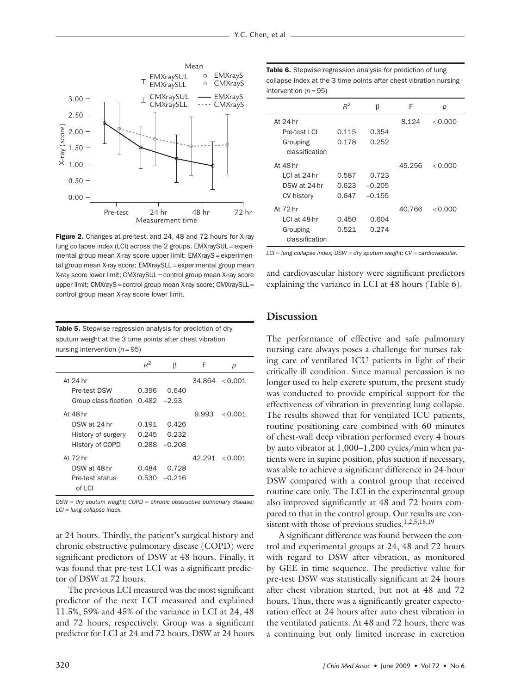

Figure 2. Changes at pre-test, and 24, 48 and 72 hours for X-ray lung collapse index (LCI) across the 2 groups. EMXraySUL = experimental group mean X-ray score upper limit; EMXrayS = experimental group mean X-ray score; EMXraySLL = experimental group mean X-ray score lower limit; CMXraySUL = control group mean X-ray score upper limit; CMXrayS = control group mean X-ray score; CMXraySLL = control group mean X-ray score lower limit.

Table 5. Stepwise regression analysis for prediction of dry sputum weight at the 3 time points after chest vibration nursing intervention (*n* = 95)

|                                    | $R^2$ | β               | F     | р                   |
|------------------------------------|-------|-----------------|-------|---------------------|
| At 24 hr                           |       |                 |       | $34.864 \div 0.001$ |
| Pre-test DSW                       | 0.396 | 0.640           |       |                     |
| Group classification $0.482 -2.93$ |       |                 |       |                     |
| At 48 hr                           |       |                 | 9.993 | < 0.001             |
| DSW at 24 hr                       | 0.191 | 0.426           |       |                     |
| History of surgery                 | 0.245 | 0.232           |       |                     |
| History of COPD                    | 0.288 | $-0.208$        |       |                     |
| At 72 hr                           |       |                 |       | $42.291 \le 0.001$  |
| DSW at 48 hr                       | 0.484 | 0.728           |       |                     |
| Pre-test status                    |       | $0.530 - 0.216$ |       |                     |
| of  C                              |       |                 |       |                     |

*DSW* = *dry sputum weight; COPD* = *chronic obstructive pulmonary disease; LCI* = *lung collapse index.*

at 24 hours. Thirdly, the patient's surgical history and chronic obstructive pulmonary disease (COPD) were significant predictors of DSW at 48 hours. Finally, it was found that pre-test LCI was a significant predictor of DSW at 72 hours.

The previous LCI measured was the most significant predictor of the next LCI measured and explained 11.5%, 59% and 45% of the variance in LCI at 24, 48 and 72 hours, respectively. Group was a significant predictor for LCI at 24 and 72 hours. DSW at 24 hours

Table 6. Stepwise regression analysis for prediction of lung collapse index at the 3 time points after chest vibration nursing intervention  $(n = 95)$ 

|                | $R^2$ | β        | F      | р         |
|----------------|-------|----------|--------|-----------|
| At 24 hr       |       |          | 8.124  | < 0.000   |
| Pre-test   CI  | 0.115 | 0.354    |        |           |
| Grouping       | 0.178 | 0.252    |        |           |
| classification |       |          |        |           |
| At 48 hr       |       |          | 45.256 | < 0.000   |
| I CI at 24 hr  | 0.587 | 0.723    |        |           |
| DSW at 24 hr   | 0.623 | $-0.205$ |        |           |
| CV history     | 0.647 | $-0.155$ |        |           |
| At 72 hr       |       |          | 40.766 | $<$ 0.000 |
| LCI at 48 hr   | 0.450 | 0.604    |        |           |
| Grouping       | 0.521 | 0.274    |        |           |
| classification |       |          |        |           |

*LCI* = *lung collapse index; DSW* = *dry sputum weight; CV* = *cardiovascular.*

and cardiovascular history were significant predictors explaining the variance in LCI at 48 hours (Table 6).

# **Discussion**

The performance of effective and safe pulmonary nursing care always poses a challenge for nurses taking care of ventilated ICU patients in light of their critically ill condition. Since manual percussion is no longer used to help excrete sputum, the present study was conducted to provide empirical support for the effectiveness of vibration in preventing lung collapse. The results showed that for ventilated ICU patients, routine positioning care combined with 60 minutes of chest-wall deep vibration performed every 4 hours by auto vibrator at 1,000–1,200 cycles/min when patients were in supine position, plus suction if necessary, was able to achieve a significant difference in 24-hour DSW compared with a control group that received routine care only. The LCI in the experimental group also improved significantly at 48 and 72 hours compared to that in the control group. Our results are consistent with those of previous studies.<sup>1,2,5,18,19</sup>

A significant difference was found between the control and experimental groups at 24, 48 and 72 hours with regard to DSW after vibration, as monitored by GEE in time sequence. The predictive value for pre-test DSW was statistically significant at 24 hours after chest vibration started, but not at 48 and 72 hours. Thus, there was a significantly greater expectoration effect at 24 hours after auto chest vibration in the ventilated patients. At 48 and 72 hours, there was a continuing but only limited increase in excretion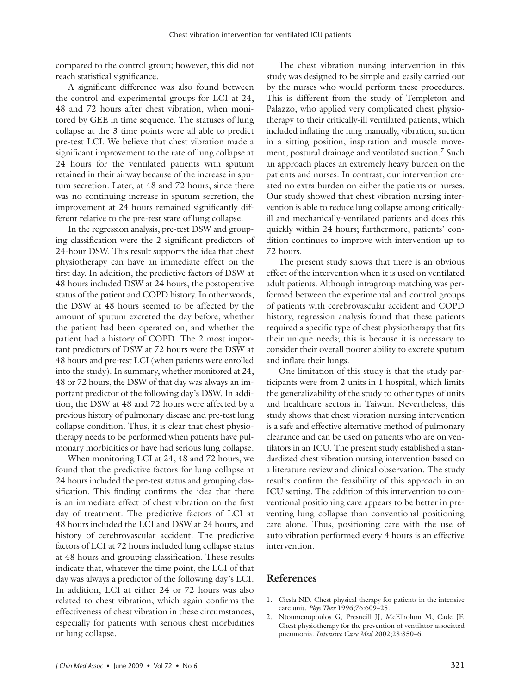compared to the control group; however, this did not reach statistical significance.

A significant difference was also found between the control and experimental groups for LCI at 24, 48 and 72 hours after chest vibration, when monitored by GEE in time sequence. The statuses of lung collapse at the 3 time points were all able to predict pre-test LCI. We believe that chest vibration made a significant improvement to the rate of lung collapse at 24 hours for the ventilated patients with sputum retained in their airway because of the increase in sputum secretion. Later, at 48 and 72 hours, since there was no continuing increase in sputum secretion, the improvement at 24 hours remained significantly different relative to the pre-test state of lung collapse.

In the regression analysis, pre-test DSW and grouping classification were the 2 significant predictors of 24-hour DSW. This result supports the idea that chest physiotherapy can have an immediate effect on the first day. In addition, the predictive factors of DSW at 48 hours included DSW at 24 hours, the postoperative status of the patient and COPD history. In other words, the DSW at 48 hours seemed to be affected by the amount of sputum excreted the day before, whether the patient had been operated on, and whether the patient had a history of COPD. The 2 most important predictors of DSW at 72 hours were the DSW at 48 hours and pre-test LCI (when patients were enrolled into the study). In summary, whether monitored at 24, 48 or 72 hours, the DSW of that day was always an important predictor of the following day's DSW. In addition, the DSW at 48 and 72 hours were affected by a previous history of pulmonary disease and pre-test lung collapse condition. Thus, it is clear that chest physiotherapy needs to be performed when patients have pulmonary morbidities or have had serious lung collapse.

When monitoring LCI at 24, 48 and 72 hours, we found that the predictive factors for lung collapse at 24 hours included the pre-test status and grouping classification. This finding confirms the idea that there is an immediate effect of chest vibration on the first day of treatment. The predictive factors of LCI at 48 hours included the LCI and DSW at 24 hours, and history of cerebrovascular accident. The predictive factors of LCI at 72 hours included lung collapse status at 48 hours and grouping classification. These results indicate that, whatever the time point, the LCI of that day was always a predictor of the following day's LCI. In addition, LCI at either 24 or 72 hours was also related to chest vibration, which again confirms the effectiveness of chest vibration in these circumstances, especially for patients with serious chest morbidities or lung collapse.

The chest vibration nursing intervention in this study was designed to be simple and easily carried out by the nurses who would perform these procedures. This is different from the study of Templeton and Palazzo, who applied very complicated chest physiotherapy to their critically-ill ventilated patients, which included inflating the lung manually, vibration, suction in a sitting position, inspiration and muscle movement, postural drainage and ventilated suction.<sup>7</sup> Such an approach places an extremely heavy burden on the patients and nurses. In contrast, our intervention created no extra burden on either the patients or nurses. Our study showed that chest vibration nursing intervention is able to reduce lung collapse among criticallyill and mechanically-ventilated patients and does this quickly within 24 hours; furthermore, patients' condition continues to improve with intervention up to 72 hours.

The present study shows that there is an obvious effect of the intervention when it is used on ventilated adult patients. Although intragroup matching was performed between the experimental and control groups of patients with cerebrovascular accident and COPD history, regression analysis found that these patients required a specific type of chest physiotherapy that fits their unique needs; this is because it is necessary to consider their overall poorer ability to excrete sputum and inflate their lungs.

One limitation of this study is that the study participants were from 2 units in 1 hospital, which limits the generalizability of the study to other types of units and healthcare sectors in Taiwan. Nevertheless, this study shows that chest vibration nursing intervention is a safe and effective alternative method of pulmonary clearance and can be used on patients who are on ventilators in an ICU. The present study established a standardized chest vibration nursing intervention based on a literature review and clinical observation. The study results confirm the feasibility of this approach in an ICU setting. The addition of this intervention to conventional positioning care appears to be better in preventing lung collapse than conventional positioning care alone. Thus, positioning care with the use of auto vibration performed every 4 hours is an effective intervention.

### **References**

- 1. Ciesla ND. Chest physical therapy for patients in the intensive care unit. *Phys Ther* 1996;76:609–25.
- 2. Ntoumenopoulos G, Presneill JJ, McElholum M, Cade JF. Chest physiotherapy for the prevention of ventilator-associated pneumonia. *Intensive Care Med* 2002;28:850–6.